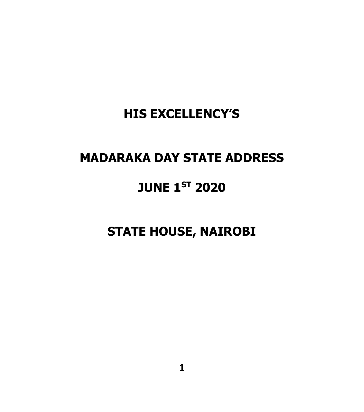#### **HIS EXCELLENCY'S**

#### **MADARAKA DAY STATE ADDRESS**

#### **JUNE 1ST 2020**

#### **STATE HOUSE, NAIROBI**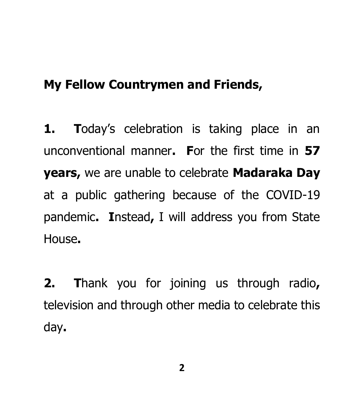#### **My Fellow Countrymen and Friends,**

**1. T**oday's celebration is taking place in an unconventional manner**. F**or the first time in **57 years,** we are unable to celebrate **Madaraka Day** at a public gathering because of the COVID-19 pandemic**. I**nstead**,** I will address you from State House**.** 

**2. T**hank you for joining us through radio**,**  television and through other media to celebrate this day**.**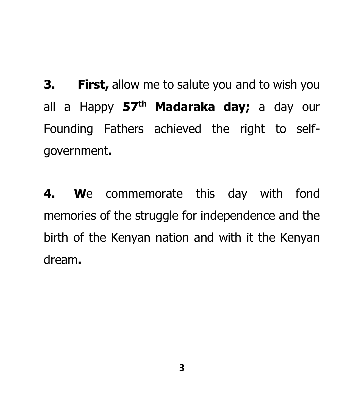**3. First,** allow me to salute you and to wish you all a Happy **57th Madaraka day;** a day our Founding Fathers achieved the right to selfgovernment**.** 

**4. W**e commemorate this day with fond memories of the struggle for independence and the birth of the Kenyan nation and with it the Kenyan dream**.**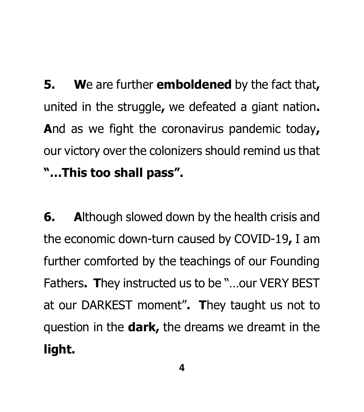**5. W**e are further **emboldened** by the fact that**,** united in the struggle**,** we defeated a giant nation**. A**nd as we fight the coronavirus pandemic today**,** our victory over the colonizers should remind us that **"…This too shall pass".**

**6. A**lthough slowed down by the health crisis and the economic down-turn caused by COVID-19**,** I am further comforted by the teachings of our Founding Fathers**. T**hey instructed us to be "…our VERY BEST at our DARKEST moment"**. T**hey taught us not to question in the **dark,** the dreams we dreamt in the **light.**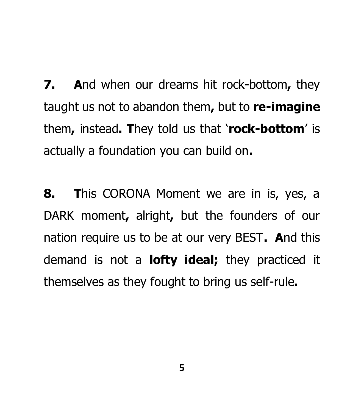**7. A**nd when our dreams hit rock-bottom**,** they taught us not to abandon them**,** but to **re-imagine** them**,** instead**. T**hey told us that '**rock-bottom**' is actually a foundation you can build on**.** 

**8. T**his CORONA Moment we are in is, yes, a DARK moment**,** alright**,** but the founders of our nation require us to be at our very BEST**. A**nd this demand is not a **lofty ideal;** they practiced it themselves as they fought to bring us self-rule**.**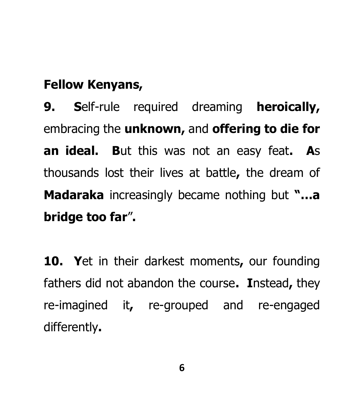## **Fellow Kenyans,**

**9. S**elf-rule required dreaming **heroically,**  embracing the **unknown,** and **offering to die for an ideal. B**ut this was not an easy feat**. A**s thousands lost their lives at battle**,** the dream of **Madaraka** increasingly became nothing but **"…a bridge too far**"**.** 

**10. Y**et in their darkest moments**,** our founding fathers did not abandon the course**. I**nstead**,** they re-imagined it**,** re-grouped and re-engaged differently**.**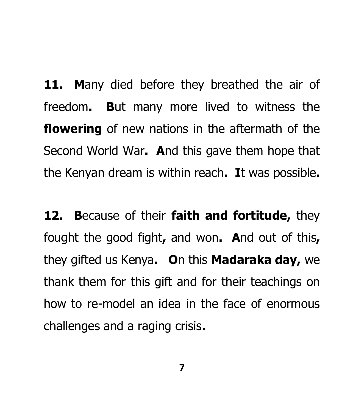**11. M**any died before they breathed the air of freedom**. B**ut many more lived to witness the **flowering** of new nations in the aftermath of the Second World War**. A**nd this gave them hope that the Kenyan dream is within reach**. I**t was possible**.** 

**12. B**ecause of their **faith and fortitude,** they fought the good fight**,** and won**. A**nd out of this**,** they gifted us Kenya**. O**n this **Madaraka day,** we thank them for this gift and for their teachings on how to re-model an idea in the face of enormous challenges and a raging crisis**.**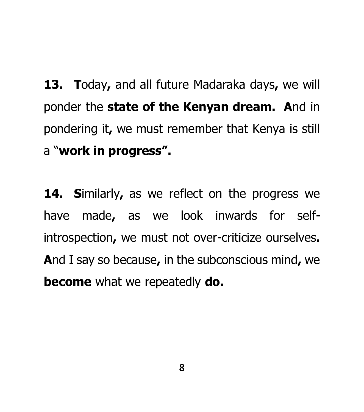**13. T**oday**,** and all future Madaraka days**,** we will ponder the **state of the Kenyan dream. A**nd in pondering it**,** we must remember that Kenya is still a "**work in progress".** 

**14. S**imilarly**,** as we reflect on the progress we have made**,** as we look inwards for selfintrospection**,** we must not over-criticize ourselves**. A**nd I say so because**,** in the subconscious mind**,** we **become** what we repeatedly **do.**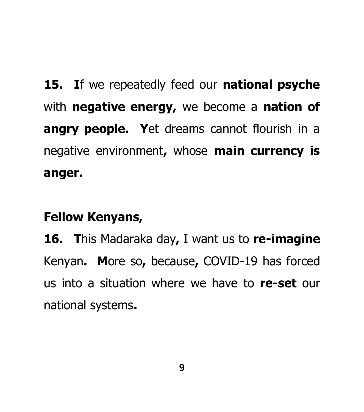**15. I**f we repeatedly feed our **national psyche** with **negative energy,** we become a **nation of angry people. Y**et dreams cannot flourish in a negative environment**,** whose **main currency is anger.** 

## **Fellow Kenyans,**

**16. T**his Madaraka day**,** I want us to **re-imagine** Kenyan**. M**ore so**,** because**,** COVID-19 has forced us into a situation where we have to **re-set** our national systems**.**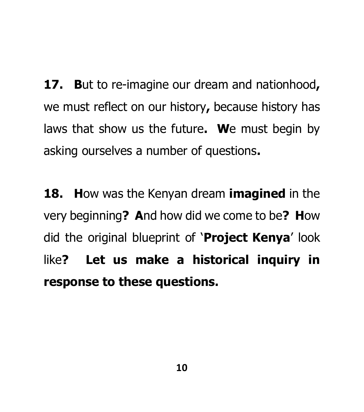**17. B**ut to re-imagine our dream and nationhood**,** we must reflect on our history**,** because history has laws that show us the future**. W**e must begin by asking ourselves a number of questions**.** 

**18. H**ow was the Kenyan dream **imagined** in the very beginning**? A**nd how did we come to be**? H**ow did the original blueprint of '**Project Kenya**' look like**? Let us make a historical inquiry in response to these questions.**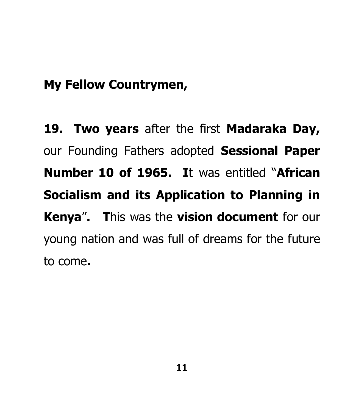#### **My Fellow Countrymen,**

**19. Two years** after the first **Madaraka Day,** our Founding Fathers adopted **Sessional Paper Number 10 of 1965. I**t was entitled "**African Socialism and its Application to Planning in Kenya**"**. T**his was the **vision document** for our young nation and was full of dreams for the future to come**.**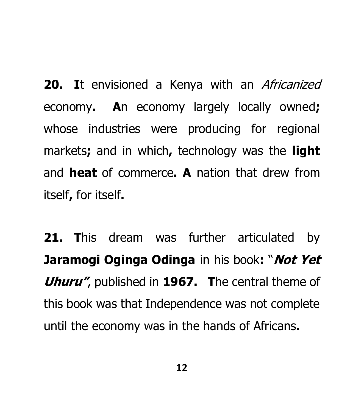20. It envisioned a Kenya with an *Africanized* economy**. A**n economy largely locally owned**;**  whose industries were producing for regional markets**;** and in which**,** technology was the **light** and **heat** of commerce**. A** nation that drew from itself**,** for itself**.** 

**21. T**his dream was further articulated by **Jaramogi Oginga Odinga** in his book**:** "**Not Yet Uhuru"**, published in **1967. T**he central theme of this book was that Independence was not complete until the economy was in the hands of Africans**.**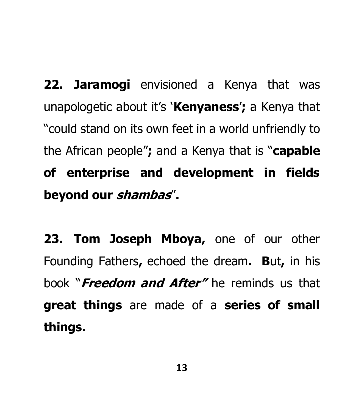**22. Jaramogi** envisioned a Kenya that was unapologetic about it's '**Kenyaness**'**;** a Kenya that "could stand on its own feet in a world unfriendly to the African people"**;** and a Kenya that is "**capable of enterprise and development in fields beyond our shambas**"**.**

**23. Tom Joseph Mboya,** one of our other Founding Fathers**,** echoed the dream**. B**ut**,** in his book "**Freedom and After"** he reminds us that **great things** are made of a **series of small things.**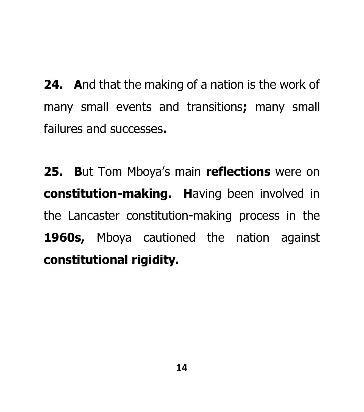**24. A**nd that the making of a nation is the work of many small events and transitions**;** many small failures and successes**.** 

**25. B**ut Tom Mboya's main **reflections** were on **constitution-making. H**aving been involved in the Lancaster constitution-making process in the **1960s,** Mboya cautioned the nation against **constitutional rigidity.**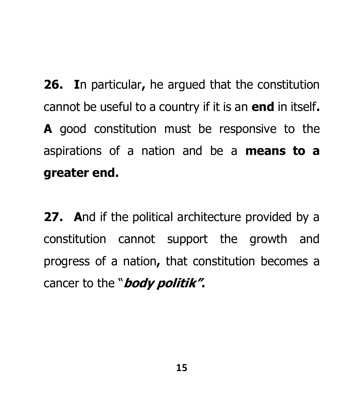**26. I**n particular**,** he argued that the constitution cannot be useful to a country if it is an **end** in itself**. A** good constitution must be responsive to the aspirations of a nation and be a **means to a greater end.** 

**27. A**nd if the political architecture provided by a constitution cannot support the growth and progress of a nation**,** that constitution becomes a cancer to the "**body politik".**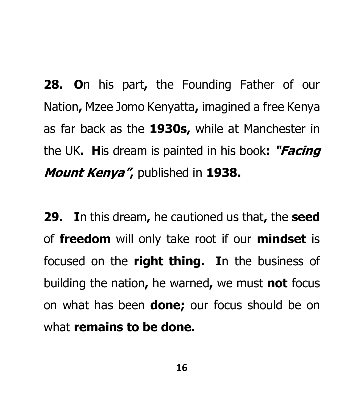**28. O**n his part**,** the Founding Father of our Nation**,** Mzee Jomo Kenyatta**,** imagined a free Kenya as far back as the **1930s,** while at Manchester in the UK**. H**is dream is painted in his book**: "Facing Mount Kenya",** published in **1938.** 

**29. I**n this dream**,** he cautioned us that**,** the **seed**  of **freedom** will only take root if our **mindset** is focused on the **right thing. I**n the business of building the nation**,** he warned**,** we must **not** focus on what has been **done;** our focus should be on what **remains to be done.**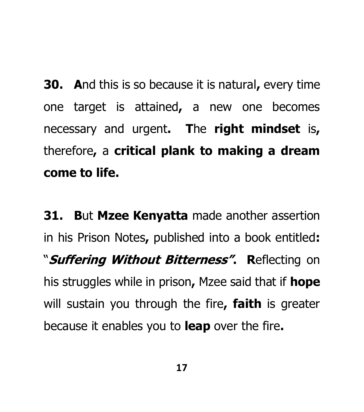**30. A**nd this is so because it is natural**,** every time one target is attained**,** a new one becomes necessary and urgent**. T**he **right mindset** is**,**  therefore**,** a **critical plank to making a dream come to life.**

**31. B**ut **Mzee Kenyatta** made another assertion in his Prison Notes**,** published into a book entitled**:** "**Suffering Without Bitterness". R**eflecting on his struggles while in prison**,** Mzee said that if **hope** will sustain you through the fire**, faith** is greater because it enables you to **leap** over the fire**.**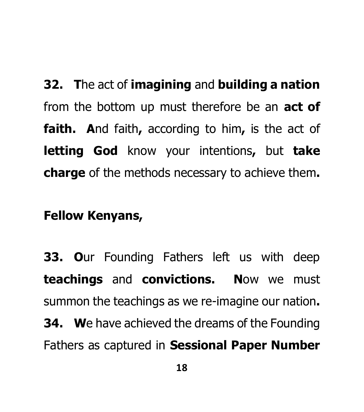**32. T**he act of **imagining** and **building a nation** from the bottom up must therefore be an **act of faith. A**nd faith**,** according to him**,** is the act of **letting God** know your intentions**,** but **take charge** of the methods necessary to achieve them**.** 

#### **Fellow Kenyans,**

**33. O**ur Founding Fathers left us with deep **teachings** and **convictions. N**ow we must summon the teachings as we re-imagine our nation**. 34. W**e have achieved the dreams of the Founding Fathers as captured in **Sessional Paper Number**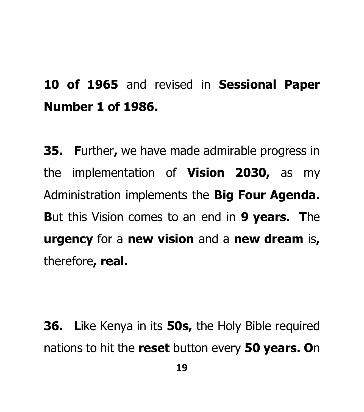## **10 of 1965** and revised in **Sessional Paper Number 1 of 1986.**

**35. F**urther**,** we have made admirable progress in the implementation of **Vision 2030,** as my Administration implements the **Big Four Agenda. B**ut this Vision comes to an end in **9 years. T**he **urgency** for a **new vision** and a **new dream** is**,**  therefore**, real.** 

**36. L**ike Kenya in its **50s,** the Holy Bible required nations to hit the **reset** button every **50 years. O**n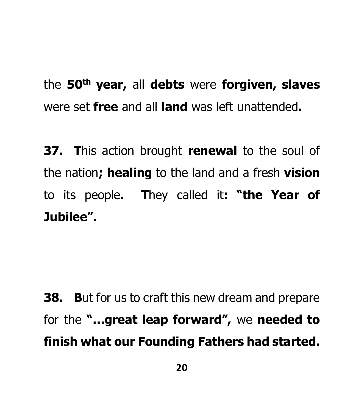the **50th year,** all **debts** were **forgiven, slaves** were set **free** and all **land** was left unattended**.** 

**37. T**his action brought **renewal** to the soul of the nation**; healing** to the land and a fresh **vision** to its people**. T**hey called it**: "the Year of Jubilee".**

**38. B**ut for us to craft this new dream and prepare for the **"…great leap forward",** we **needed to finish what our Founding Fathers had started.**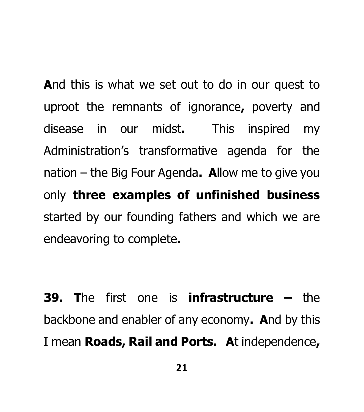**A**nd this is what we set out to do in our quest to uproot the remnants of ignorance**,** poverty and disease in our midst**.** This inspired my Administration's transformative agenda for the nation – the Big Four Agenda**. A**llow me to give you only **three examples of unfinished business**  started by our founding fathers and which we are endeavoring to complete**.** 

**39. T**he first one is **infrastructure –** the backbone and enabler of any economy**. A**nd by this I mean **Roads, Rail and Ports. A**t independence**,**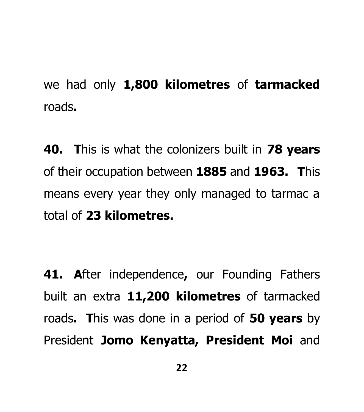we had only **1,800 kilometres** of **tarmacked** roads**.** 

**40. T**his is what the colonizers built in **78 years** of their occupation between **1885** and **1963. T**his means every year they only managed to tarmac a total of **23 kilometres.** 

**41. A**fter independence**,** our Founding Fathers built an extra **11,200 kilometres** of tarmacked roads**. T**his was done in a period of **50 years** by President **Jomo Kenyatta, President Moi** and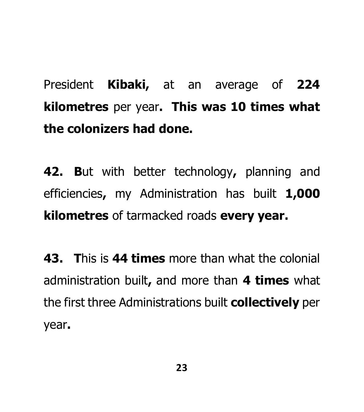# President **Kibaki,** at an average of **224 kilometres** per year**. This was 10 times what the colonizers had done.**

**42. B**ut with better technology**,** planning and efficiencies**,** my Administration has built **1,000 kilometres** of tarmacked roads **every year.** 

**43. T**his is **44 times** more than what the colonial administration built**,** and more than **4 times** what the first three Administrations built **collectively** per year**.**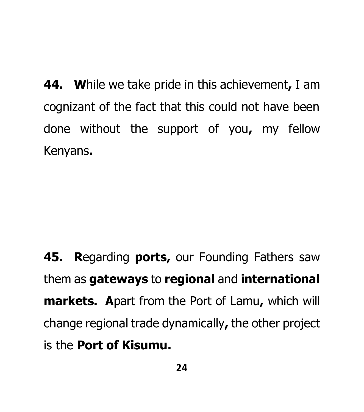**44. W**hile we take pride in this achievement**,** I am cognizant of the fact that this could not have been done without the support of you**,** my fellow Kenyans**.** 

**45. R**egarding **ports,** our Founding Fathers saw them as **gateways** to **regional** and **international markets. A**part from the Port of Lamu**,** which will change regional trade dynamically**,** the other project is the **Port of Kisumu.**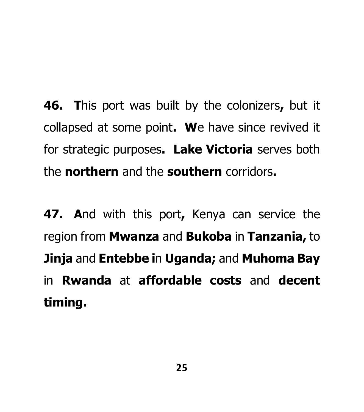**46. T**his port was built by the colonizers**,** but it collapsed at some point**. W**e have since revived it for strategic purposes**. Lake Victoria** serves both the **northern** and the **southern** corridors**.** 

**47. A**nd with this port**,** Kenya can service the region from **Mwanza** and **Bukoba** in **Tanzania,** to **Jinja** and **Entebbe i**n **Uganda;** and **Muhoma Bay** in **Rwanda** at **affordable costs** and **decent timing.**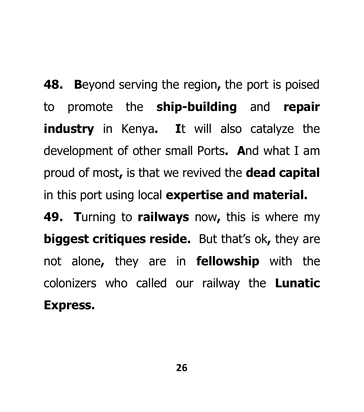**48. B**eyond serving the region**,** the port is poised to promote the **ship-building** and **repair industry** in Kenya**. I**t will also catalyze the development of other small Ports**. A**nd what I am proud of most**,** is that we revived the **dead capital** in this port using local **expertise and material. 49. T**urning to **railways** now**,** this is where my **biggest critiques reside.** But that's ok**,** they are not alone**,** they are in **fellowship** with the colonizers who called our railway the **Lunatic Express.**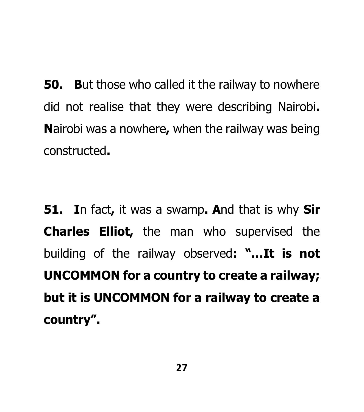**50. B**ut those who called it the railway to nowhere did not realise that they were describing Nairobi**. N**airobi was a nowhere**,** when the railway was being constructed**.** 

**51. I**n fact**,** it was a swamp**. A**nd that is why **Sir Charles Elliot,** the man who supervised the building of the railway observed**: "…It is not UNCOMMON for a country to create a railway; but it is UNCOMMON for a railway to create a country".**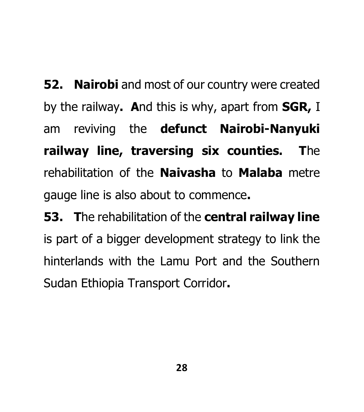**52. Nairobi** and most of our country were created by the railway**. A**nd this is why, apart from **SGR,** I am reviving the **defunct Nairobi-Nanyuki railway line, traversing six counties. T**he rehabilitation of the **Naivasha** to **Malaba** metre gauge line is also about to commence**.**

**53. T**he rehabilitation of the **central railway line**  is part of a bigger development strategy to link the hinterlands with the Lamu Port and the Southern Sudan Ethiopia Transport Corridor**.**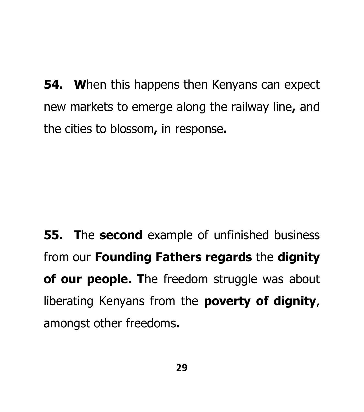**54. W**hen this happens then Kenyans can expect new markets to emerge along the railway line**,** and the cities to blossom**,** in response**.** 

**55. T**he **second** example of unfinished business from our **Founding Fathers regards** the **dignity of our people. T**he freedom struggle was about liberating Kenyans from the **poverty of dignity**, amongst other freedoms**.**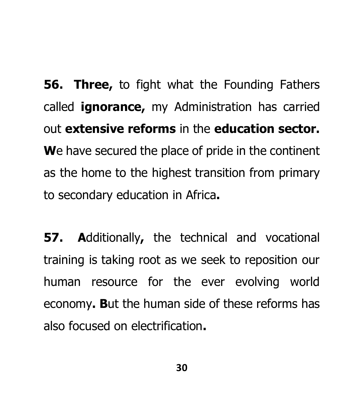**56. Three,** to fight what the Founding Fathers called **ignorance,** my Administration has carried out **extensive reforms** in the **education sector. W**e have secured the place of pride in the continent as the home to the highest transition from primary to secondary education in Africa**.** 

**57. A**dditionally**,** the technical and vocational training is taking root as we seek to reposition our human resource for the ever evolving world economy**. B**ut the human side of these reforms has also focused on electrification**.**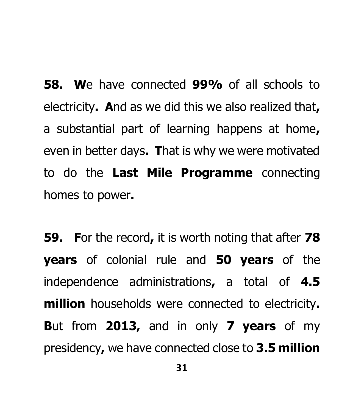**58. W**e have connected **99%** of all schools to electricity**. A**nd as we did this we also realized that**,** a substantial part of learning happens at home**,** even in better days**. T**hat is why we were motivated to do the **Last Mile Programme** connecting homes to power**.** 

**59. F**or the record**,** it is worth noting that after **78 years** of colonial rule and **50 years** of the independence administrations**,** a total of **4.5 million** households were connected to electricity**. B**ut from **2013,** and in only **7 years** of my presidency**,** we have connected close to **3.5 million**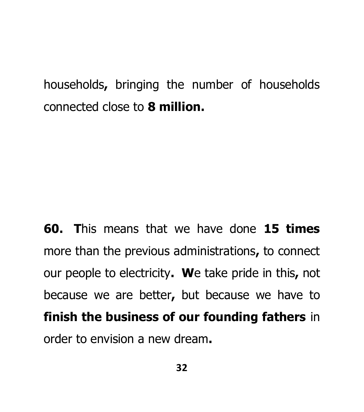households**,** bringing the number of households connected close to **8 million.** 

**60. T**his means that we have done **15 times** more than the previous administrations**,** to connect our people to electricity**. W**e take pride in this**,** not because we are better**,** but because we have to **finish the business of our founding fathers** in order to envision a new dream**.**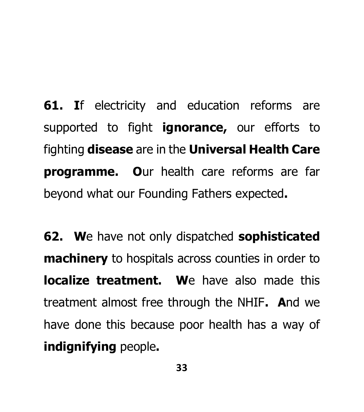**61. I**f electricity and education reforms are supported to fight **ignorance,** our efforts to fighting **disease** are in the **Universal Health Care programme. O**ur health care reforms are far beyond what our Founding Fathers expected**.** 

**62. W**e have not only dispatched **sophisticated machinery** to hospitals across counties in order to **localize treatment. We have also made this** treatment almost free through the NHIF**. A**nd we have done this because poor health has a way of **indignifying** people**.**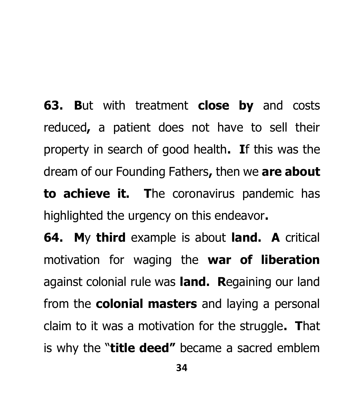**63. B**ut with treatment **close by** and costs reduced**,** a patient does not have to sell their property in search of good health**. I**f this was the dream of our Founding Fathers**,** then we **are about to achieve it. T**he coronavirus pandemic has highlighted the urgency on this endeavor**.**

**64. M**y **third** example is about **land. A** critical motivation for waging the **war of liberation** against colonial rule was **land. R**egaining our land from the **colonial masters** and laying a personal claim to it was a motivation for the struggle**. T**hat is why the "**title deed"** became a sacred emblem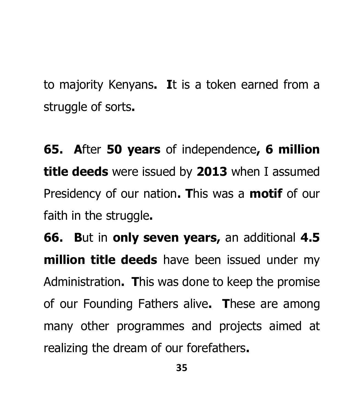to majority Kenyans**. I**t is a token earned from a struggle of sorts**.**

**65. A**fter **50 years** of independence**, 6 million title deeds** were issued by **2013** when I assumed Presidency of our nation**. T**his was a **motif** of our faith in the struggle**.** 

**66. B**ut in **only seven years,** an additional **4.5 million title deeds** have been issued under my Administration**. T**his was done to keep the promise of our Founding Fathers alive**. T**hese are among many other programmes and projects aimed at realizing the dream of our forefathers**.**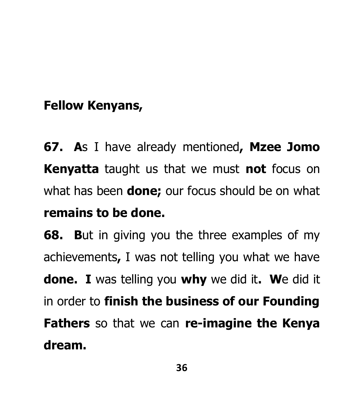### **Fellow Kenyans,**

**67. A**s I have already mentioned**, Mzee Jomo Kenyatta** taught us that we must **not** focus on what has been **done;** our focus should be on what **remains to be done.** 

**68. B**ut in giving you the three examples of my achievements**,** I was not telling you what we have **done. I** was telling you **why** we did it**. W**e did it in order to **finish the business of our Founding Fathers** so that we can **re-imagine the Kenya dream.**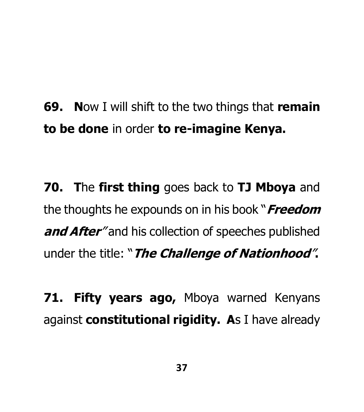**69. N**ow I will shift to the two things that **remain to be done** in order **to re-imagine Kenya.** 

**70. T**he **first thing** goes back to **TJ Mboya** and the thoughts he expounds on in his book "**Freedom and After**" and his collection of speeches published under the title: "**The Challenge of Nationhood**"**.**

**71. Fifty years ago,** Mboya warned Kenyans against **constitutional rigidity. A**s I have already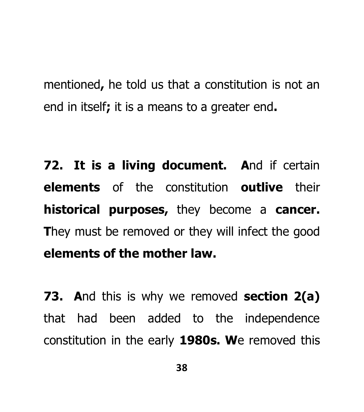mentioned**,** he told us that a constitution is not an end in itself**;** it is a means to a greater end**.** 

**72. It is a living document. A**nd if certain **elements** of the constitution **outlive** their **historical purposes,** they become a **cancer. They must be removed or they will infect the good elements of the mother law.**

**73. A**nd this is why we removed **section 2(a)** that had been added to the independence constitution in the early **1980s. W**e removed this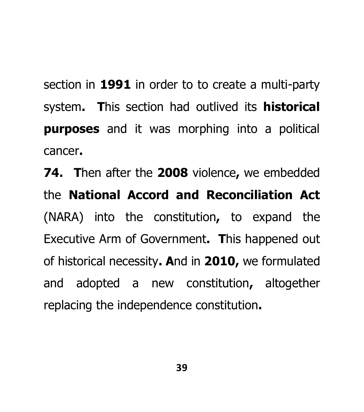section in **1991** in order to to create a multi-party system**. T**his section had outlived its **historical purposes** and it was morphing into a political cancer**.** 

**74. T**hen after the **2008** violence**,** we embedded the **National Accord and Reconciliation Act** (NARA) into the constitution**,** to expand the Executive Arm of Government**. T**his happened out of historical necessity**. A**nd in **2010,** we formulated and adopted a new constitution**,** altogether replacing the independence constitution**.**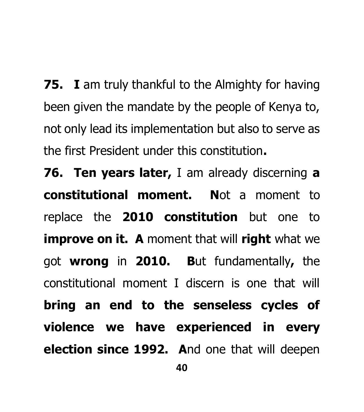**75. I** am truly thankful to the Almighty for having been given the mandate by the people of Kenya to, not only lead its implementation but also to serve as the first President under this constitution**.**

**76. Ten years later,** I am already discerning **a constitutional moment. N**ot a moment to replace the **2010 constitution** but one to **improve on it. A** moment that will **right** what we got **wrong** in **2010. B**ut fundamentally**,** the constitutional moment I discern is one that will **bring an end to the senseless cycles of violence we have experienced in every election since 1992. A**nd one that will deepen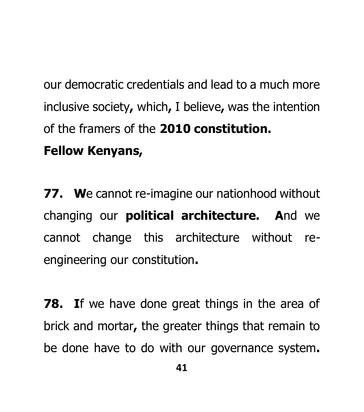our democratic credentials and lead to a much more inclusive society**,** which**,** I believe**,** was the intention of the framers of the **2010 constitution. Fellow Kenyans,** 

**77. W**e cannot re-imagine our nationhood without changing our **political architecture. A**nd we cannot change this architecture without reengineering our constitution**.** 

**78. I**f we have done great things in the area of brick and mortar**,** the greater things that remain to be done have to do with our governance system**.**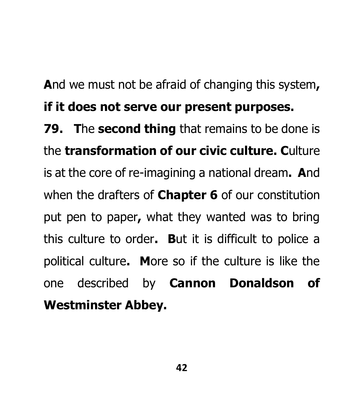**A**nd we must not be afraid of changing this system**, if it does not serve our present purposes.** 

**79. T**he **second thing** that remains to be done is the **transformation of our civic culture. C**ulture is at the core of re-imagining a national dream**. A**nd when the drafters of **Chapter 6** of our constitution put pen to paper**,** what they wanted was to bring this culture to order**. B**ut it is difficult to police a political culture**. M**ore so if the culture is like the one described by **Cannon Donaldson of Westminster Abbey.**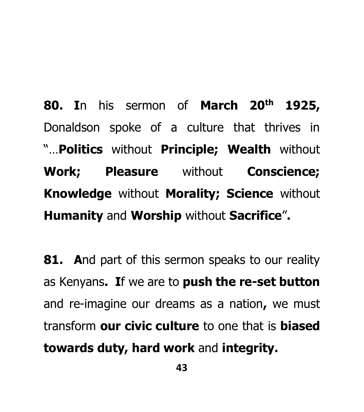**80. I**n his sermon of **March 20th 1925,** Donaldson spoke of a culture that thrives in "…**Politics** without **Principle; Wealth** without **Work; Pleasure** without **Conscience; Knowledge** without **Morality; Science** without **Humanity** and **Worship** without **Sacrifice**"**.** 

**81. A**nd part of this sermon speaks to our reality as Kenyans**. I**f we are to **push the re-set button** and re-imagine our dreams as a nation**,** we must transform **our civic culture** to one that is **biased towards duty, hard work** and **integrity.**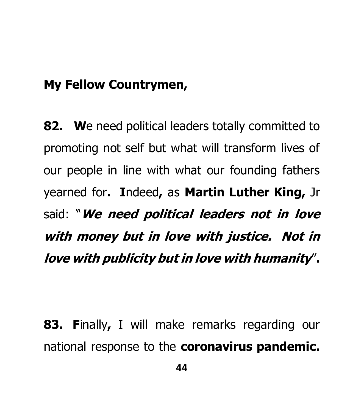#### **My Fellow Countrymen,**

**82. W**e need political leaders totally committed to promoting not self but what will transform lives of our people in line with what our founding fathers yearned for**. I**ndeed**,** as **Martin Luther King,** Jr said: "**We need political leaders not in love with money but in love with justice. Not in love with publicity but in love with humanity**"**.**

**83. F**inally**,** I will make remarks regarding our national response to the **coronavirus pandemic.**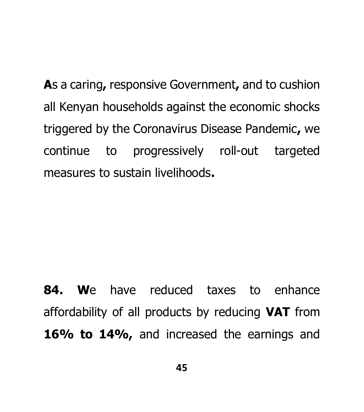**A**s a caring**,** responsive Government**,** and to cushion all Kenyan households against the economic shocks triggered by the Coronavirus Disease Pandemic**,** we continue to progressively roll-out targeted measures to sustain livelihoods**.** 

**84. W**e have reduced taxes to enhance affordability of all products by reducing **VAT** from 16% to 14%, and increased the earnings and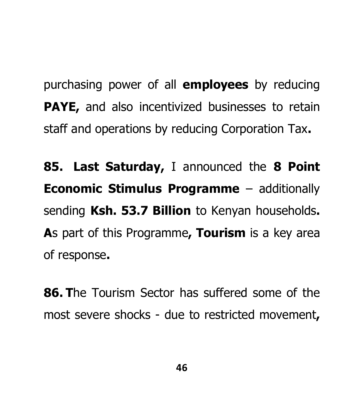purchasing power of all **employees** by reducing **PAYE,** and also incentivized businesses to retain staff and operations by reducing Corporation Tax**.** 

**85. Last Saturday,** I announced the **8 Point Economic Stimulus Programme** – additionally sending **Ksh. 53.7 Billion** to Kenyan households**. A**s part of this Programme**, Tourism** is a key area of response**.** 

**86. T**he Tourism Sector has suffered some of the most severe shocks - due to restricted movement**,**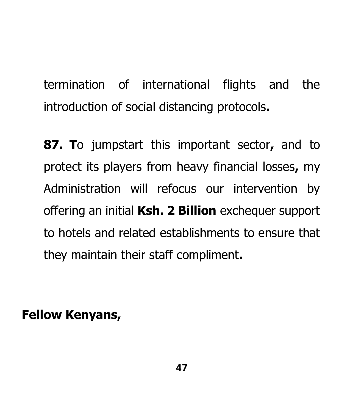termination of international flights and the introduction of social distancing protocols**.** 

**87. T**o jumpstart this important sector**,** and to protect its players from heavy financial losses**,** my Administration will refocus our intervention by offering an initial **Ksh. 2 Billion** exchequer support to hotels and related establishments to ensure that they maintain their staff compliment**.** 

**Fellow Kenyans,**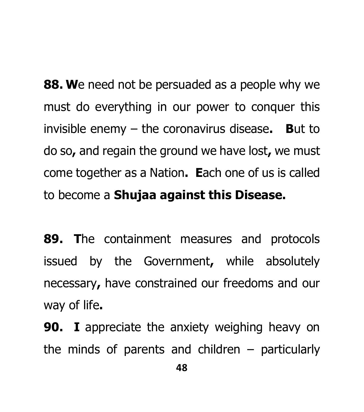**88. W**e need not be persuaded as a people why we must do everything in our power to conquer this invisible enemy – the coronavirus disease**. B**ut to do so**,** and regain the ground we have lost**,** we must come together as a Nation**. E**ach one of us is called to become a **Shujaa against this Disease.**

**89. T**he containment measures and protocols issued by the Government**,** while absolutely necessary**,** have constrained our freedoms and our way of life**.**

**90. I** appreciate the anxiety weighing heavy on the minds of parents and children  $-$  particularly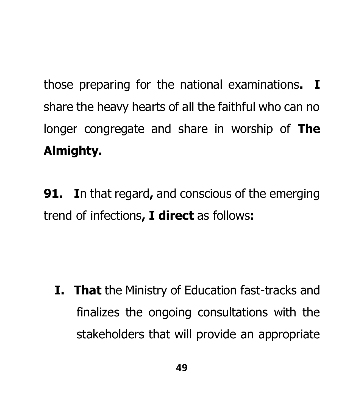those preparing for the national examinations**. I** share the heavy hearts of all the faithful who can no longer congregate and share in worship of **The Almighty.** 

**91. I**n that regard**,** and conscious of the emerging trend of infections**, I direct** as follows**:** 

**I. That** the Ministry of Education fast-tracks and finalizes the ongoing consultations with the stakeholders that will provide an appropriate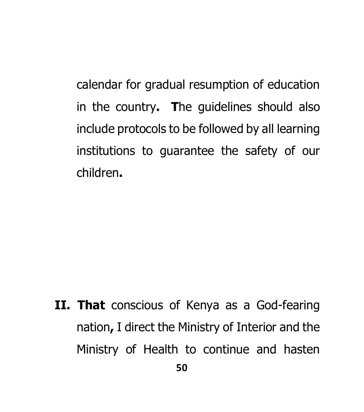calendar for gradual resumption of education in the country**. T**he guidelines should also include protocols to be followed by all learning institutions to guarantee the safety of our children**.** 

**II. That** conscious of Kenya as a God-fearing nation**,** I direct the Ministry of Interior and the Ministry of Health to continue and hasten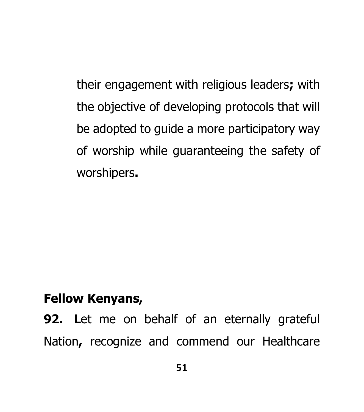their engagement with religious leaders**;** with the objective of developing protocols that will be adopted to guide a more participatory way of worship while guaranteeing the safety of worshipers**.** 

#### **Fellow Kenyans,**

**92. L**et me on behalf of an eternally grateful Nation**,** recognize and commend our Healthcare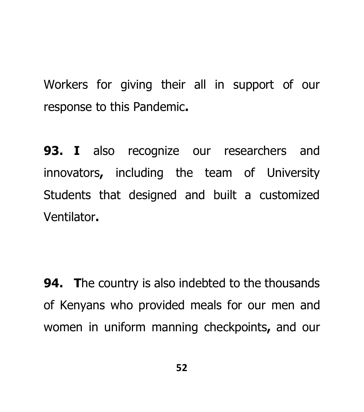Workers for giving their all in support of our response to this Pandemic**.** 

**93. I** also recognize our researchers and innovators**,** including the team of University Students that designed and built a customized Ventilator**.** 

**94. T**he country is also indebted to the thousands of Kenyans who provided meals for our men and women in uniform manning checkpoints**,** and our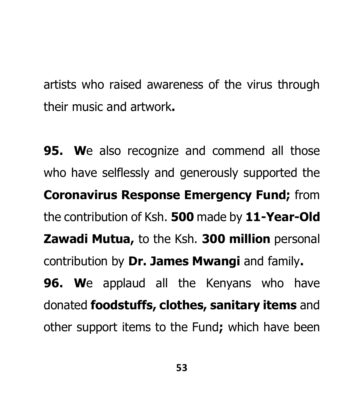artists who raised awareness of the virus through their music and artwork**.**

**95. W**e also recognize and commend all those who have selflessly and generously supported the **Coronavirus Response Emergency Fund;** from the contribution of Ksh. **500** made by **11-Year-Old Zawadi Mutua,** to the Ksh. **300 million** personal contribution by **Dr. James Mwangi** and family**. 96. W**e applaud all the Kenyans who have donated **foodstuffs, clothes, sanitary items** and other support items to the Fund**;** which have been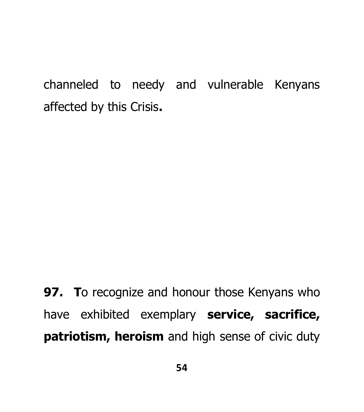channeled to needy and vulnerable Kenyans affected by this Crisis**.**

**97. T**o recognize and honour those Kenyans who have exhibited exemplary **service, sacrifice, patriotism, heroism** and high sense of civic duty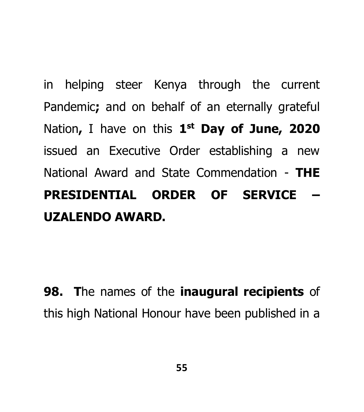in helping steer Kenya through the current Pandemic**;** and on behalf of an eternally grateful Nation**,** I have on this **1 st Day of June, 2020** issued an Executive Order establishing a new National Award and State Commendation - **THE PRESIDENTIAL ORDER OF SERVICE – UZALENDO AWARD.**

**98. T**he names of the **inaugural recipients** of this high National Honour have been published in a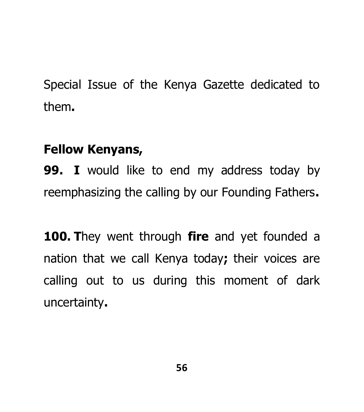Special Issue of the Kenya Gazette dedicated to them**.** 

#### **Fellow Kenyans,**

**99. I** would like to end my address today by reemphasizing the calling by our Founding Fathers**.** 

**100. T**hey went through **fire** and yet founded a nation that we call Kenya today**;** their voices are calling out to us during this moment of dark uncertainty**.**